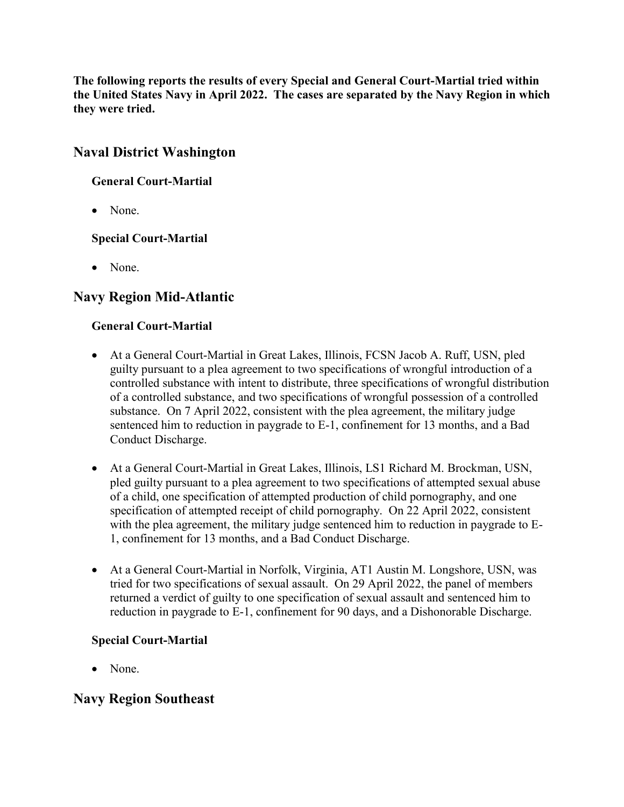**The following reports the results of every Special and General Court-Martial tried within the United States Navy in April 2022. The cases are separated by the Navy Region in which they were tried.**

# **Naval District Washington**

### **General Court-Martial**

• None.

### **Special Court-Martial**

• None.

# **Navy Region Mid-Atlantic**

### **General Court-Martial**

- At a General Court-Martial in Great Lakes, Illinois, FCSN Jacob A. Ruff, USN, pled guilty pursuant to a plea agreement to two specifications of wrongful introduction of a controlled substance with intent to distribute, three specifications of wrongful distribution of a controlled substance, and two specifications of wrongful possession of a controlled substance. On 7 April 2022, consistent with the plea agreement, the military judge sentenced him to reduction in paygrade to E-1, confinement for 13 months, and a Bad Conduct Discharge.
- At a General Court-Martial in Great Lakes, Illinois, LS1 Richard M. Brockman, USN, pled guilty pursuant to a plea agreement to two specifications of attempted sexual abuse of a child, one specification of attempted production of child pornography, and one specification of attempted receipt of child pornography. On 22 April 2022, consistent with the plea agreement, the military judge sentenced him to reduction in paygrade to E-1, confinement for 13 months, and a Bad Conduct Discharge.
- At a General Court-Martial in Norfolk, Virginia, AT1 Austin M. Longshore, USN, was tried for two specifications of sexual assault. On 29 April 2022, the panel of members returned a verdict of guilty to one specification of sexual assault and sentenced him to reduction in paygrade to E-1, confinement for 90 days, and a Dishonorable Discharge.

### **Special Court-Martial**

• None.

# **Navy Region Southeast**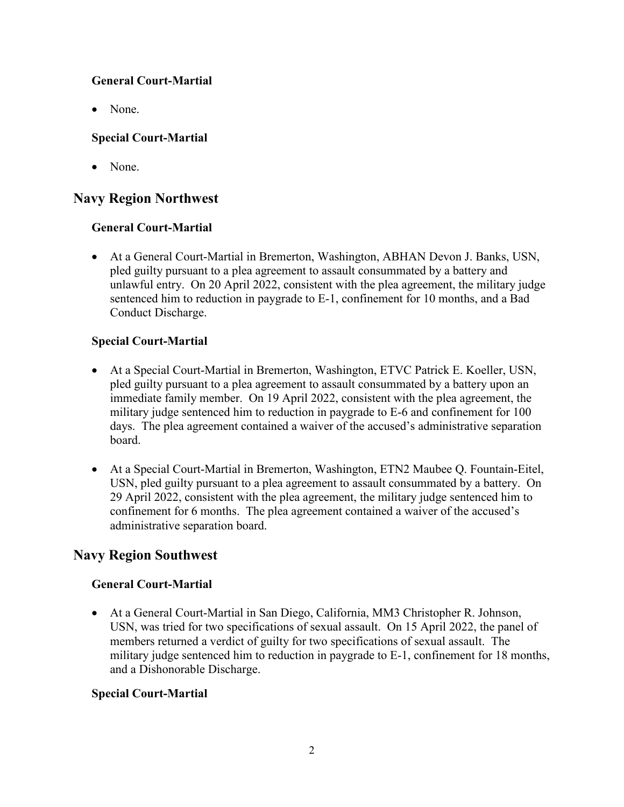### **General Court-Martial**

• None.

### **Special Court-Martial**

• None.

# **Navy Region Northwest**

### **General Court-Martial**

• At a General Court-Martial in Bremerton, Washington, ABHAN Devon J. Banks, USN, pled guilty pursuant to a plea agreement to assault consummated by a battery and unlawful entry. On 20 April 2022, consistent with the plea agreement, the military judge sentenced him to reduction in paygrade to E-1, confinement for 10 months, and a Bad Conduct Discharge.

### **Special Court-Martial**

- At a Special Court-Martial in Bremerton, Washington, ETVC Patrick E. Koeller, USN, pled guilty pursuant to a plea agreement to assault consummated by a battery upon an immediate family member. On 19 April 2022, consistent with the plea agreement, the military judge sentenced him to reduction in paygrade to E-6 and confinement for 100 days. The plea agreement contained a waiver of the accused's administrative separation board.
- At a Special Court-Martial in Bremerton, Washington, ETN2 Maubee Q. Fountain-Eitel, USN, pled guilty pursuant to a plea agreement to assault consummated by a battery. On 29 April 2022, consistent with the plea agreement, the military judge sentenced him to confinement for 6 months. The plea agreement contained a waiver of the accused's administrative separation board.

# **Navy Region Southwest**

### **General Court-Martial**

• At a General Court-Martial in San Diego, California, MM3 Christopher R. Johnson, USN, was tried for two specifications of sexual assault. On 15 April 2022, the panel of members returned a verdict of guilty for two specifications of sexual assault. The military judge sentenced him to reduction in paygrade to E-1, confinement for 18 months, and a Dishonorable Discharge.

#### **Special Court-Martial**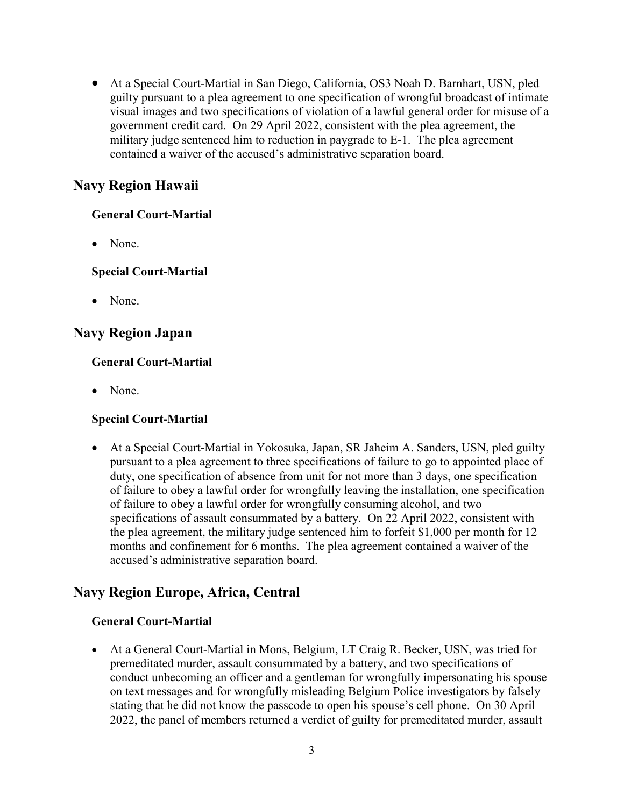• At a Special Court-Martial in San Diego, California, OS3 Noah D. Barnhart, USN, pled guilty pursuant to a plea agreement to one specification of wrongful broadcast of intimate visual images and two specifications of violation of a lawful general order for misuse of a government credit card. On 29 April 2022, consistent with the plea agreement, the military judge sentenced him to reduction in paygrade to E-1. The plea agreement contained a waiver of the accused's administrative separation board.

# **Navy Region Hawaii**

#### **General Court-Martial**

• None.

### **Special Court-Martial**

• None.

## **Navy Region Japan**

#### **General Court-Martial**

• None.

### **Special Court-Martial**

• At a Special Court-Martial in Yokosuka, Japan, SR Jaheim A. Sanders, USN, pled guilty pursuant to a plea agreement to three specifications of failure to go to appointed place of duty, one specification of absence from unit for not more than 3 days, one specification of failure to obey a lawful order for wrongfully leaving the installation, one specification of failure to obey a lawful order for wrongfully consuming alcohol, and two specifications of assault consummated by a battery. On 22 April 2022, consistent with the plea agreement, the military judge sentenced him to forfeit \$1,000 per month for 12 months and confinement for 6 months. The plea agreement contained a waiver of the accused's administrative separation board.

# **Navy Region Europe, Africa, Central**

#### **General Court-Martial**

• At a General Court-Martial in Mons, Belgium, LT Craig R. Becker, USN, was tried for premeditated murder, assault consummated by a battery, and two specifications of conduct unbecoming an officer and a gentleman for wrongfully impersonating his spouse on text messages and for wrongfully misleading Belgium Police investigators by falsely stating that he did not know the passcode to open his spouse's cell phone. On 30 April 2022, the panel of members returned a verdict of guilty for premeditated murder, assault